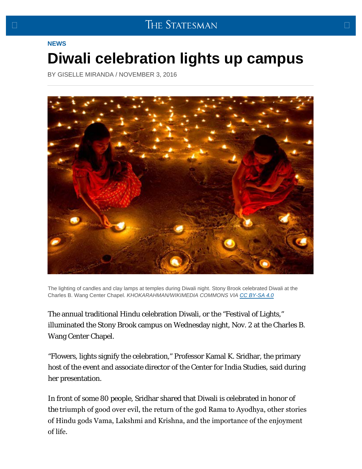## <span id="page-0-0"></span>**[NEWS](https://www.sbstatesman.com/category/news/)**

## **[Diwali celebration lights up campus](#page-0-0)**

BY [GISELLE MIRANDA](https://www.sbstatesman.com/author/gmiranda/) / [NOVEMBER 3, 2016](https://www.sbstatesman.com/2016/11/03/)



The lighting of candles and clay lamps at temples during Diwali night. Stony Brook celebrated Diwali at the Charles B. Wang Center Chapel. *KHOKARAHMAN/WIKIMEDIA COMMONS VIA [CC BY-SA 4.0](https://creativecommons.org/licenses/by-sa/4.0/)*

The annual traditional Hindu celebration Diwali, or the "Festival of Lights," illuminated the Stony Brook campus on Wednesday night, Nov. 2 at the Charles B. Wang Center Chapel.

"Flowers, lights signify the celebration," Professor Kamal K. Sridhar, the primary host of the event and associate director of the Center for India Studies, said during her presentation.

In front of some 80 people, Sridhar shared that Diwali is celebrated in honor of the triumph of good over evil, the return of the god Rama to Ayodhya, other stories of Hindu gods Vama, Lakshmi and Krishna, and the importance of the enjoyment of life.